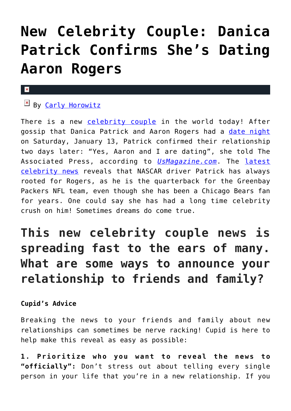# **[New Celebrity Couple: Danica](https://cupidspulse.com/122569/danica-patrick-confirms-dating-aaron-rogers/) [Patrick Confirms She's Dating](https://cupidspulse.com/122569/danica-patrick-confirms-dating-aaron-rogers/) [Aaron Rogers](https://cupidspulse.com/122569/danica-patrick-confirms-dating-aaron-rogers/)**

#### $\mathbf{x}$

## $E$  By [Carly Horowitz](http://cupidspulse.com/122831/carly-horowitz/)

There is a new [celebrity couple](http://cupidspulse.com/celebrity-news/celebrity-dating/) in the world today! After gossip that Danica Patrick and Aaron Rogers had a [date night](http://cupidspulse.com/dating/date-ideas/) on Saturday, January 13, Patrick confirmed their relationship two days later: "Yes, Aaron and I are dating", she told The Associated Press, according to *[UsMagazine.com](https://www.usmagazine.com/celebrity-news/news/danica-patrick-confirms-relationship-with-aaron-rodgers/)*. The [latest](http://cupidspulse.com) [celebrity news](http://cupidspulse.com) reveals that NASCAR driver Patrick has always rooted for Rogers, as he is the quarterback for the Greenbay Packers NFL team, even though she has been a Chicago Bears fan for years. One could say she has had a long time celebrity crush on him! Sometimes dreams do come true.

## **This new celebrity couple news is spreading fast to the ears of many. What are some ways to announce your relationship to friends and family?**

### **Cupid's Advice**

Breaking the news to your friends and family about new relationships can sometimes be nerve racking! Cupid is here to help make this reveal as easy as possible:

**1. Prioritize who you want to reveal the news to "officially":** Don't stress out about telling every single person in your life that you're in a new relationship. If you